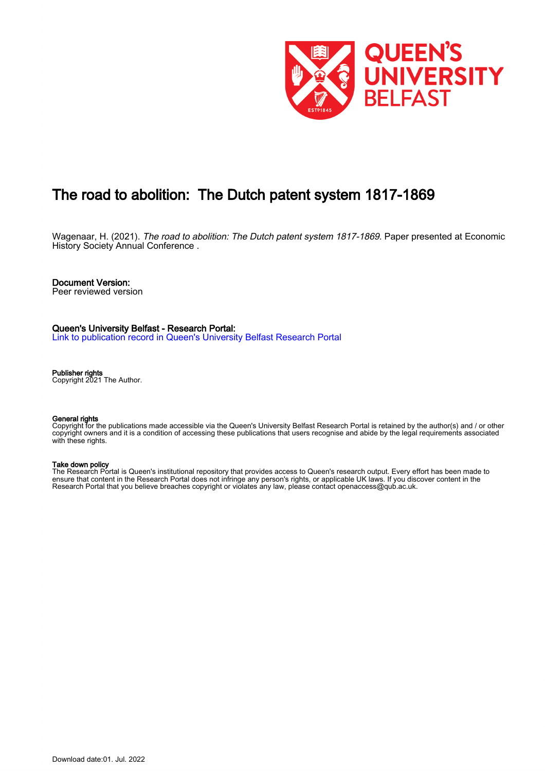

# The road to abolition: The Dutch patent system 1817-1869

Wagenaar, H. (2021). The road to abolition: The Dutch patent system 1817-1869. Paper presented at Economic History Society Annual Conference.

### Document Version:

Peer reviewed version

### Queen's University Belfast - Research Portal:

[Link to publication record in Queen's University Belfast Research Portal](https://pure.qub.ac.uk/en/publications/758f3a39-6366-4f6a-98a7-27342e07ccd4)

### Publisher rights

Copyright 2021 The Author.

#### General rights

Copyright for the publications made accessible via the Queen's University Belfast Research Portal is retained by the author(s) and / or other copyright owners and it is a condition of accessing these publications that users recognise and abide by the legal requirements associated with these rights.

### Take down policy

The Research Portal is Queen's institutional repository that provides access to Queen's research output. Every effort has been made to ensure that content in the Research Portal does not infringe any person's rights, or applicable UK laws. If you discover content in the Research Portal that you believe breaches copyright or violates any law, please contact openaccess@qub.ac.uk.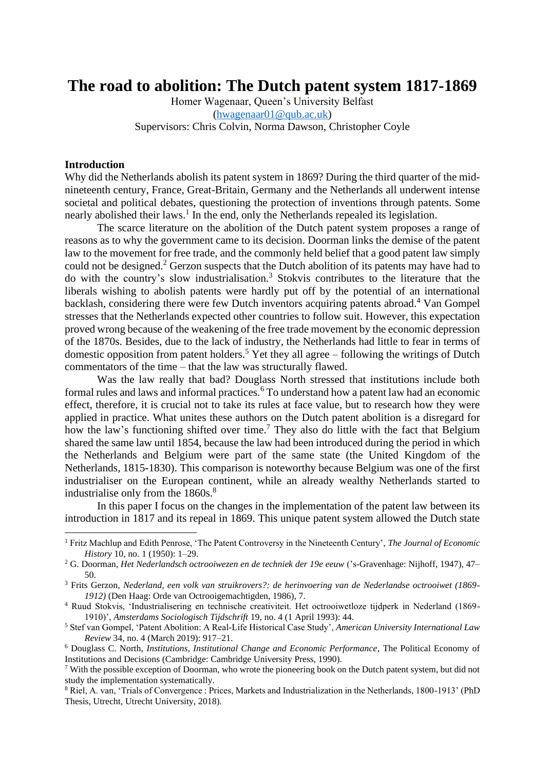## **The road to abolition: The Dutch patent system 1817-1869**

Homer Wagenaar, Queen's University Belfast [\(hwagenaar01@qub.ac.uk\)](mailto:hwagenaar01@qub.ac.uk) Supervisors: Chris Colvin, Norma Dawson, Christopher Coyle

### **Introduction**

Why did the Netherlands abolish its patent system in 1869? During the third quarter of the midnineteenth century, France, Great-Britain, Germany and the Netherlands all underwent intense societal and political debates, questioning the protection of inventions through patents. Some nearly abolished their laws. 1 In the end, only the Netherlands repealed its legislation.

The scarce literature on the abolition of the Dutch patent system proposes a range of reasons as to why the government came to its decision. Doorman links the demise of the patent law to the movement for free trade, and the commonly held belief that a good patent law simply could not be designed.<sup>2</sup> Gerzon suspects that the Dutch abolition of its patents may have had to do with the country's slow industrialisation.<sup>3</sup> Stokvis contributes to the literature that the liberals wishing to abolish patents were hardly put off by the potential of an international backlash, considering there were few Dutch inventors acquiring patents abroad. <sup>4</sup> Van Gompel stresses that the Netherlands expected other countries to follow suit. However, this expectation proved wrong because of the weakening of the free trade movement by the economic depression of the 1870s. Besides, due to the lack of industry, the Netherlands had little to fear in terms of domestic opposition from patent holders.<sup>5</sup> Yet they all agree – following the writings of Dutch commentators of the time – that the law was structurally flawed.

Was the law really that bad? Douglass North stressed that institutions include both formal rules and laws and informal practices.<sup>6</sup> To understand how a patent law had an economic effect, therefore, it is crucial not to take its rules at face value, but to research how they were applied in practice. What unites these authors on the Dutch patent abolition is a disregard for how the law's functioning shifted over time.<sup>7</sup> They also do little with the fact that Belgium shared the same law until 1854, because the law had been introduced during the period in which the Netherlands and Belgium were part of the same state (the United Kingdom of the Netherlands, 1815-1830). This comparison is noteworthy because Belgium was one of the first industrialiser on the European continent, while an already wealthy Netherlands started to industrialise only from the  $1860s$ .<sup>8</sup>

In this paper I focus on the changes in the implementation of the patent law between its introduction in 1817 and its repeal in 1869. This unique patent system allowed the Dutch state

<sup>1</sup> Fritz Machlup and Edith Penrose, 'The Patent Controversy in the Nineteenth Century', *The Journal of Economic History* 10, no. 1 (1950): 1–29.

<sup>2</sup> G. Doorman, *Het Nederlandsch octrooiwezen en de techniek der 19e eeuw* ('s-Gravenhage: Nijhoff, 1947), 47– 50.

<sup>3</sup> Frits Gerzon, *Nederland, een volk van struikrovers?: de herinvoering van de Nederlandse octrooiwet (1869- 1912)* (Den Haag: Orde van Octrooigemachtigden, 1986), 7.

<sup>4</sup> Ruud Stokvis, 'Industrialisering en technische creativiteit. Het octrooiwetloze tijdperk in Nederland (1869- 1910)', *Amsterdams Sociologisch Tijdschrift* 19, no. 4 (1 April 1993): 44.

<sup>5</sup> Stef van Gompel, 'Patent Abolition: A Real-Life Historical Case Study', *American University International Law Review* 34, no. 4 (March 2019): 917–21.

<sup>6</sup> Douglass C. North, *Institutions, Institutional Change and Economic Performance*, The Political Economy of Institutions and Decisions (Cambridge: Cambridge University Press, 1990).

<sup>&</sup>lt;sup>7</sup> With the possible exception of Doorman, who wrote the pioneering book on the Dutch patent system, but did not study the implementation systematically.

<sup>8</sup> Riel, A. van, 'Trials of Convergence : Prices, Markets and Industrialization in the Netherlands, 1800-1913' (PhD Thesis, Utrecht, Utrecht University, 2018).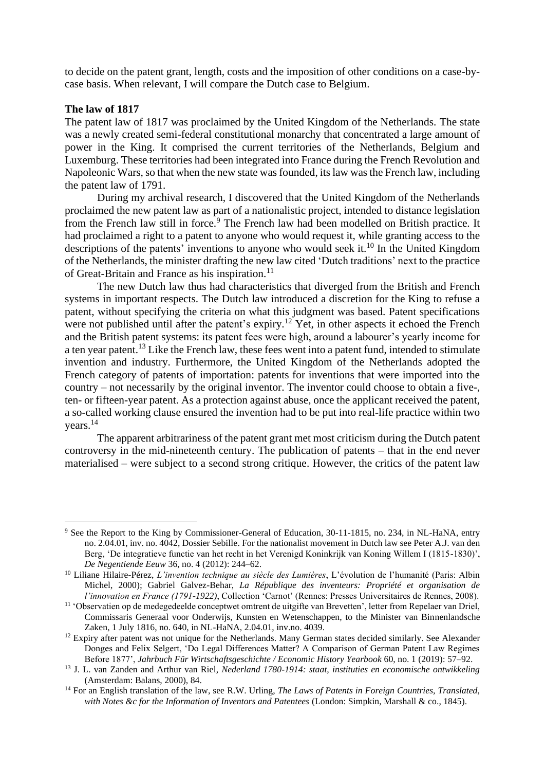to decide on the patent grant, length, costs and the imposition of other conditions on a case-bycase basis. When relevant, I will compare the Dutch case to Belgium.

## **The law of 1817**

The patent law of 1817 was proclaimed by the United Kingdom of the Netherlands. The state was a newly created semi-federal constitutional monarchy that concentrated a large amount of power in the King. It comprised the current territories of the Netherlands, Belgium and Luxemburg. These territories had been integrated into France during the French Revolution and Napoleonic Wars, so that when the new state was founded, its law was the French law, including the patent law of 1791.

During my archival research, I discovered that the United Kingdom of the Netherlands proclaimed the new patent law as part of a nationalistic project, intended to distance legislation from the French law still in force.<sup>9</sup> The French law had been modelled on British practice. It had proclaimed a right to a patent to anyone who would request it, while granting access to the descriptions of the patents' inventions to anyone who would seek it.<sup>10</sup> In the United Kingdom of the Netherlands, the minister drafting the new law cited 'Dutch traditions' next to the practice of Great-Britain and France as his inspiration.<sup>11</sup>

The new Dutch law thus had characteristics that diverged from the British and French systems in important respects. The Dutch law introduced a discretion for the King to refuse a patent, without specifying the criteria on what this judgment was based. Patent specifications were not published until after the patent's expiry.<sup>12</sup> Yet, in other aspects it echoed the French and the British patent systems: its patent fees were high, around a labourer's yearly income for a ten year patent.<sup>13</sup> Like the French law, these fees went into a patent fund, intended to stimulate invention and industry. Furthermore, the United Kingdom of the Netherlands adopted the French category of patents of importation: patents for inventions that were imported into the country – not necessarily by the original inventor. The inventor could choose to obtain a five-, ten- or fifteen-year patent. As a protection against abuse, once the applicant received the patent, a so-called working clause ensured the invention had to be put into real-life practice within two years.<sup>14</sup>

The apparent arbitrariness of the patent grant met most criticism during the Dutch patent controversy in the mid-nineteenth century. The publication of patents – that in the end never materialised – were subject to a second strong critique. However, the critics of the patent law

<sup>&</sup>lt;sup>9</sup> See the Report to the King by Commissioner-General of Education, 30-11-1815, no. 234, in NL-HaNA, entry no. 2.04.01, inv. no. 4042, Dossier Sebille. For the nationalist movement in Dutch law see Peter A.J. van den Berg, 'De integratieve functie van het recht in het Verenigd Koninkrijk van Koning Willem I (1815-1830)', *De Negentiende Eeuw* 36, no. 4 (2012): 244–62.

<sup>10</sup> Liliane Hilaire-Pérez, *L'invention technique au siècle des Lumières*, L'évolution de l'humanité (Paris: Albin Michel, 2000); Gabriel Galvez-Behar, *La République des inventeurs: Propriété et organisation de l'innovation en France (1791-1922)*, Collection 'Carnot' (Rennes: Presses Universitaires de Rennes, 2008).

<sup>&</sup>lt;sup>11</sup> 'Observatien op de medegedeelde conceptwet omtrent de uitgifte van Brevetten', letter from Repelaer van Driel, Commissaris Generaal voor Onderwijs, Kunsten en Wetenschappen, to the Minister van Binnenlandsche Zaken, 1 July 1816, no. 640, in NL-HaNA, 2.04.01, inv.no. 4039.

<sup>&</sup>lt;sup>12</sup> Expiry after patent was not unique for the Netherlands. Many German states decided similarly. See Alexander Donges and Felix Selgert, 'Do Legal Differences Matter? A Comparison of German Patent Law Regimes Before 1877', *Jahrbuch Für Wirtschaftsgeschichte / Economic History Yearbook* 60, no. 1 (2019): 57–92.

<sup>13</sup> J. L. van Zanden and Arthur van Riel, *Nederland 1780-1914: staat, instituties en economische ontwikkeling* (Amsterdam: Balans, 2000), 84.

<sup>14</sup> For an English translation of the law, see R.W. Urling, *The Laws of Patents in Foreign Countries, Translated, with Notes &c for the Information of Inventors and Patentees* (London: Simpkin, Marshall & co., 1845).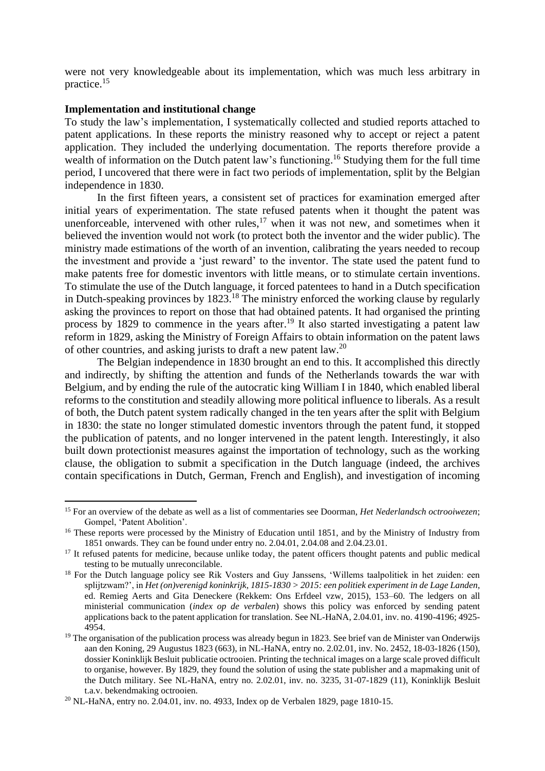were not very knowledgeable about its implementation, which was much less arbitrary in practice.<sup>15</sup>

## **Implementation and institutional change**

To study the law's implementation, I systematically collected and studied reports attached to patent applications. In these reports the ministry reasoned why to accept or reject a patent application. They included the underlying documentation. The reports therefore provide a wealth of information on the Dutch patent law's functioning.<sup>16</sup> Studying them for the full time period, I uncovered that there were in fact two periods of implementation, split by the Belgian independence in 1830.

In the first fifteen years, a consistent set of practices for examination emerged after initial years of experimentation. The state refused patents when it thought the patent was unenforceable, intervened with other rules,  $17$  when it was not new, and sometimes when it believed the invention would not work (to protect both the inventor and the wider public). The ministry made estimations of the worth of an invention, calibrating the years needed to recoup the investment and provide a 'just reward' to the inventor. The state used the patent fund to make patents free for domestic inventors with little means, or to stimulate certain inventions. To stimulate the use of the Dutch language, it forced patentees to hand in a Dutch specification in Dutch-speaking provinces by 1823.<sup>18</sup> The ministry enforced the working clause by regularly asking the provinces to report on those that had obtained patents. It had organised the printing process by 1829 to commence in the years after.<sup>19</sup> It also started investigating a patent law reform in 1829, asking the Ministry of Foreign Affairs to obtain information on the patent laws of other countries, and asking jurists to draft a new patent law.<sup>20</sup>

The Belgian independence in 1830 brought an end to this. It accomplished this directly and indirectly, by shifting the attention and funds of the Netherlands towards the war with Belgium, and by ending the rule of the autocratic king William I in 1840, which enabled liberal reforms to the constitution and steadily allowing more political influence to liberals. As a result of both, the Dutch patent system radically changed in the ten years after the split with Belgium in 1830: the state no longer stimulated domestic inventors through the patent fund, it stopped the publication of patents, and no longer intervened in the patent length. Interestingly, it also built down protectionist measures against the importation of technology, such as the working clause, the obligation to submit a specification in the Dutch language (indeed, the archives contain specifications in Dutch, German, French and English), and investigation of incoming

<sup>15</sup> For an overview of the debate as well as a list of commentaries see Doorman, *Het Nederlandsch octrooiwezen*; Gompel, 'Patent Abolition'.

<sup>&</sup>lt;sup>16</sup> These reports were processed by the Ministry of Education until 1851, and by the Ministry of Industry from 1851 onwards. They can be found under entry no. 2.04.01, 2.04.08 and 2.04.23.01.

<sup>&</sup>lt;sup>17</sup> It refused patents for medicine, because unlike today, the patent officers thought patents and public medical testing to be mutually unreconcilable.

<sup>&</sup>lt;sup>18</sup> For the Dutch language policy see Rik Vosters and Guy Janssens, 'Willems taalpolitiek in het zuiden: een splijtzwam?', in *Het (on)verenigd koninkrijk, 1815-1830 > 2015: een politiek experiment in de Lage Landen*, ed. Remieg Aerts and Gita Deneckere (Rekkem: Ons Erfdeel vzw, 2015), 153–60. The ledgers on all ministerial communication (*index op de verbalen*) shows this policy was enforced by sending patent applications back to the patent application for translation. See NL-HaNA, 2.04.01, inv. no. 4190-4196; 4925- 4954.

 $19$  The organisation of the publication process was already begun in 1823. See brief van de Minister van Onderwijs aan den Koning, 29 Augustus 1823 (663), in NL-HaNA, entry no. 2.02.01, inv. No. 2452, 18-03-1826 (150), dossier Koninklijk Besluit publicatie octrooien. Printing the technical images on a large scale proved difficult to organise, however. By 1829, they found the solution of using the state publisher and a mapmaking unit of the Dutch military. See NL-HaNA, entry no. 2.02.01, inv. no. 3235, 31-07-1829 (11), Koninklijk Besluit t.a.v. bekendmaking octrooien.

<sup>20</sup> NL-HaNA, entry no. 2.04.01, inv. no. 4933, Index op de Verbalen 1829, page 1810-15.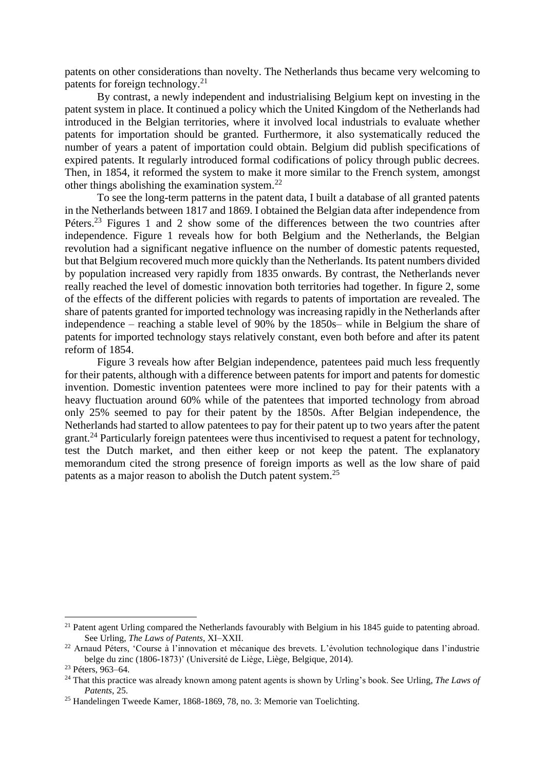patents on other considerations than novelty. The Netherlands thus became very welcoming to patents for foreign technology. $^{21}$ 

By contrast, a newly independent and industrialising Belgium kept on investing in the patent system in place. It continued a policy which the United Kingdom of the Netherlands had introduced in the Belgian territories, where it involved local industrials to evaluate whether patents for importation should be granted. Furthermore, it also systematically reduced the number of years a patent of importation could obtain. Belgium did publish specifications of expired patents. It regularly introduced formal codifications of policy through public decrees. Then, in 1854, it reformed the system to make it more similar to the French system, amongst other things abolishing the examination system.<sup>22</sup>

To see the long-term patterns in the patent data, I built a database of all granted patents in the Netherlands between 1817 and 1869. I obtained the Belgian data after independence from Péters.<sup>23</sup> Figures 1 and 2 show some of the differences between the two countries after independence. Figure 1 reveals how for both Belgium and the Netherlands, the Belgian revolution had a significant negative influence on the number of domestic patents requested, but that Belgium recovered much more quickly than the Netherlands. Its patent numbers divided by population increased very rapidly from 1835 onwards. By contrast, the Netherlands never really reached the level of domestic innovation both territories had together. In figure 2, some of the effects of the different policies with regards to patents of importation are revealed. The share of patents granted for imported technology was increasing rapidly in the Netherlands after independence – reaching a stable level of 90% by the 1850s– while in Belgium the share of patents for imported technology stays relatively constant, even both before and after its patent reform of 1854.

Figure 3 reveals how after Belgian independence, patentees paid much less frequently for their patents, although with a difference between patents for import and patents for domestic invention. Domestic invention patentees were more inclined to pay for their patents with a heavy fluctuation around 60% while of the patentees that imported technology from abroad only 25% seemed to pay for their patent by the 1850s. After Belgian independence, the Netherlands had started to allow patentees to pay for their patent up to two years after the patent grant.<sup>24</sup> Particularly foreign patentees were thus incentivised to request a patent for technology, test the Dutch market, and then either keep or not keep the patent. The explanatory memorandum cited the strong presence of foreign imports as well as the low share of paid patents as a major reason to abolish the Dutch patent system.<sup>25</sup>

<sup>&</sup>lt;sup>21</sup> Patent agent Urling compared the Netherlands favourably with Belgium in his 1845 guide to patenting abroad. See Urling, *The Laws of Patents*, XI–XXII.

<sup>&</sup>lt;sup>22</sup> Arnaud Péters, 'Course à l'innovation et mécanique des brevets. L'évolution technologique dans l'industrie belge du zinc (1806-1873)' (Université de Liège, Liège, Belgique, 2014).

<sup>&</sup>lt;sup>23</sup> Péters, 963–64.

<sup>24</sup> That this practice was already known among patent agents is shown by Urling's book. See Urling, *The Laws of Patents*, 25.

<sup>25</sup> Handelingen Tweede Kamer, 1868-1869, 78, no. 3: Memorie van Toelichting.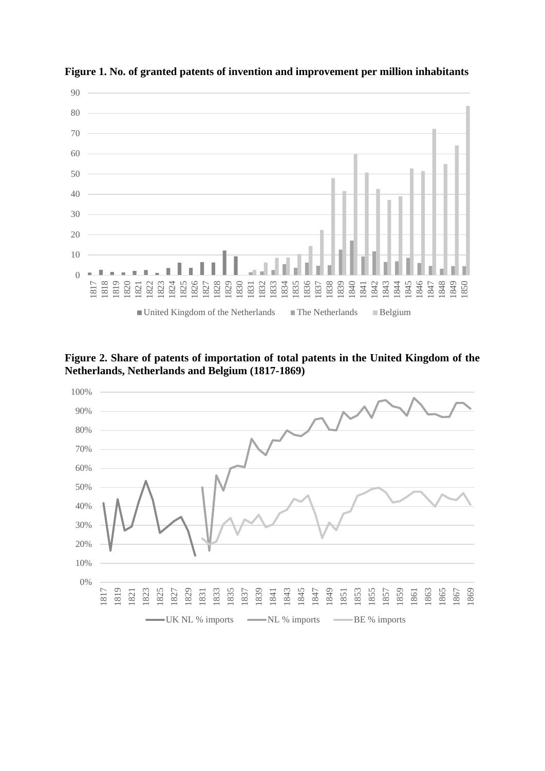

**Figure 1. No. of granted patents of invention and improvement per million inhabitants** 

**Figure 2. Share of patents of importation of total patents in the United Kingdom of the Netherlands, Netherlands and Belgium (1817-1869)**